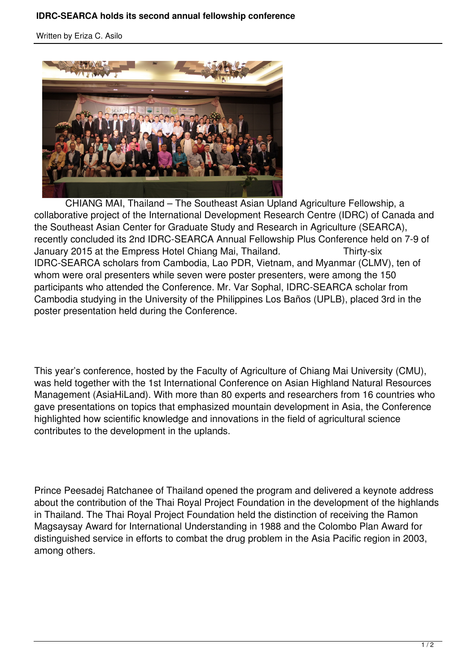Written by Eriza C. Asilo



 CHIANG MAI, Thailand – The Southeast Asian Upland Agriculture Fellowship, a collaborative project of the International Development Research Centre (IDRC) of Canada and the Southeast Asian Center for Graduate Study and Research in Agriculture (SEARCA), recently concluded its 2nd IDRC-SEARCA Annual Fellowship Plus Conference held on 7-9 of January 2015 at the Empress Hotel Chiang Mai, Thailand. Thirty-six IDRC-SEARCA scholars from Cambodia, Lao PDR, Vietnam, and Myanmar (CLMV), ten of whom were oral presenters while seven were poster presenters, were among the 150 participants who attended the Conference. Mr. Var Sophal, IDRC-SEARCA scholar from Cambodia studying in the University of the Philippines Los Baños (UPLB), placed 3rd in the poster presentation held during the Conference.

This year's conference, hosted by the Faculty of Agriculture of Chiang Mai University (CMU), was held together with the 1st International Conference on Asian Highland Natural Resources Management (AsiaHiLand). With more than 80 experts and researchers from 16 countries who gave presentations on topics that emphasized mountain development in Asia, the Conference highlighted how scientific knowledge and innovations in the field of agricultural science contributes to the development in the uplands.

Prince Peesadej Ratchanee of Thailand opened the program and delivered a keynote address about the contribution of the Thai Royal Project Foundation in the development of the highlands in Thailand. The Thai Royal Project Foundation held the distinction of receiving the Ramon Magsaysay Award for International Understanding in 1988 and the Colombo Plan Award for distinguished service in efforts to combat the drug problem in the Asia Pacific region in 2003, among others.